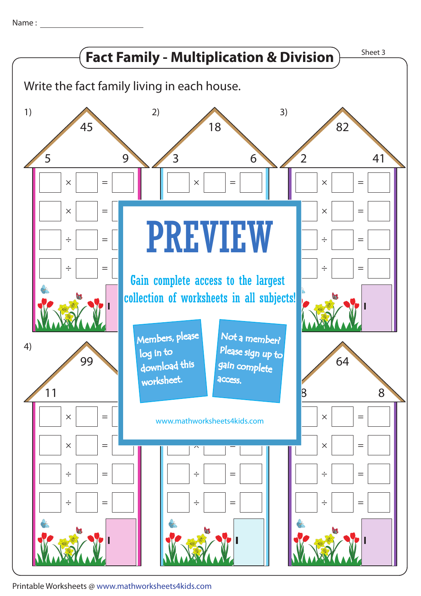Name :



Printable Worksheets @ www.mathworksheets4kids.com